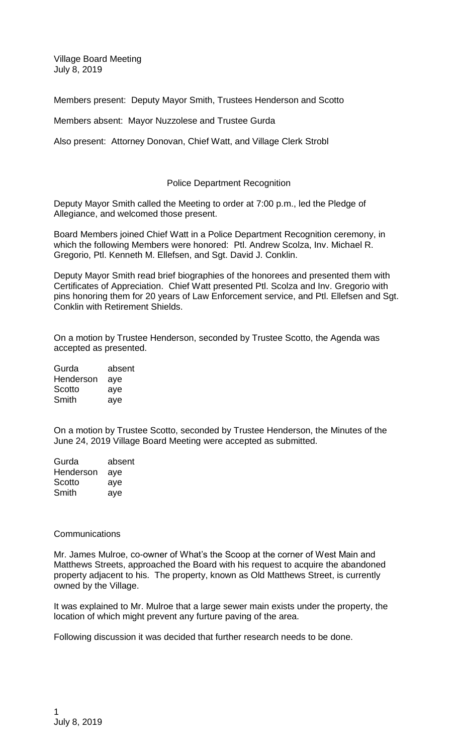Village Board Meeting July 8, 2019

Members present: Deputy Mayor Smith, Trustees Henderson and Scotto

Members absent: Mayor Nuzzolese and Trustee Gurda

Also present: Attorney Donovan, Chief Watt, and Village Clerk Strobl

## Police Department Recognition

Deputy Mayor Smith called the Meeting to order at 7:00 p.m., led the Pledge of Allegiance, and welcomed those present.

Board Members joined Chief Watt in a Police Department Recognition ceremony, in which the following Members were honored: Ptl. Andrew Scolza, Inv. Michael R. Gregorio, Ptl. Kenneth M. Ellefsen, and Sgt. David J. Conklin.

Deputy Mayor Smith read brief biographies of the honorees and presented them with Certificates of Appreciation. Chief Watt presented Ptl. Scolza and Inv. Gregorio with pins honoring them for 20 years of Law Enforcement service, and Ptl. Ellefsen and Sgt. Conklin with Retirement Shields.

On a motion by Trustee Henderson, seconded by Trustee Scotto, the Agenda was accepted as presented.

| Gurda     | absent |
|-----------|--------|
| Henderson | aye    |
| Scotto    | aye    |
| Smith     | aye    |

On a motion by Trustee Scotto, seconded by Trustee Henderson, the Minutes of the June 24, 2019 Village Board Meeting were accepted as submitted.

| Gurda     | absent |
|-----------|--------|
| Henderson | aye    |
| Scotto    | aye    |
| Smith     | aye    |

## **Communications**

Mr. James Mulroe, co-owner of What's the Scoop at the corner of West Main and Matthews Streets, approached the Board with his request to acquire the abandoned property adjacent to his. The property, known as Old Matthews Street, is currently owned by the Village.

It was explained to Mr. Mulroe that a large sewer main exists under the property, the location of which might prevent any furture paving of the area.

Following discussion it was decided that further research needs to be done.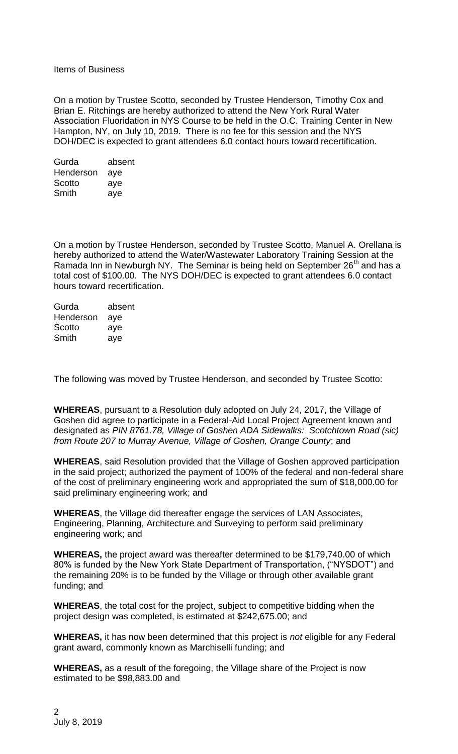Items of Business

On a motion by Trustee Scotto, seconded by Trustee Henderson, Timothy Cox and Brian E. Ritchings are hereby authorized to attend the New York Rural Water Association Fluoridation in NYS Course to be held in the O.C. Training Center in New Hampton, NY, on July 10, 2019. There is no fee for this session and the NYS DOH/DEC is expected to grant attendees 6.0 contact hours toward recertification.

| Gurda     | absent |
|-----------|--------|
| Henderson | aye    |
| Scotto    | aye    |
| Smith     | aye    |

On a motion by Trustee Henderson, seconded by Trustee Scotto, Manuel A. Orellana is hereby authorized to attend the Water/Wastewater Laboratory Training Session at the Ramada Inn in Newburgh NY. The Seminar is being held on September 26<sup>th</sup> and has a total cost of \$100.00. The NYS DOH/DEC is expected to grant attendees 6.0 contact hours toward recertification.

| Gurda     | absent |
|-----------|--------|
| Henderson | aye    |
| Scotto    | aye    |
| Smith     | aye    |
|           |        |

The following was moved by Trustee Henderson, and seconded by Trustee Scotto:

**WHEREAS**, pursuant to a Resolution duly adopted on July 24, 2017, the Village of Goshen did agree to participate in a Federal-Aid Local Project Agreement known and designated as *PIN 8761.78, Village of Goshen ADA Sidewalks: Scotchtown Road (sic) from Route 207 to Murray Avenue, Village of Goshen, Orange County*; and

**WHEREAS**, said Resolution provided that the Village of Goshen approved participation in the said project; authorized the payment of 100% of the federal and non-federal share of the cost of preliminary engineering work and appropriated the sum of \$18,000.00 for said preliminary engineering work; and

**WHEREAS**, the Village did thereafter engage the services of LAN Associates, Engineering, Planning, Architecture and Surveying to perform said preliminary engineering work; and

**WHEREAS,** the project award was thereafter determined to be \$179,740.00 of which 80% is funded by the New York State Department of Transportation, ("NYSDOT") and the remaining 20% is to be funded by the Village or through other available grant funding; and

**WHEREAS**, the total cost for the project, subject to competitive bidding when the project design was completed, is estimated at \$242,675.00; and

**WHEREAS,** it has now been determined that this project is *not* eligible for any Federal grant award, commonly known as Marchiselli funding; and

**WHEREAS,** as a result of the foregoing, the Village share of the Project is now estimated to be \$98,883.00 and